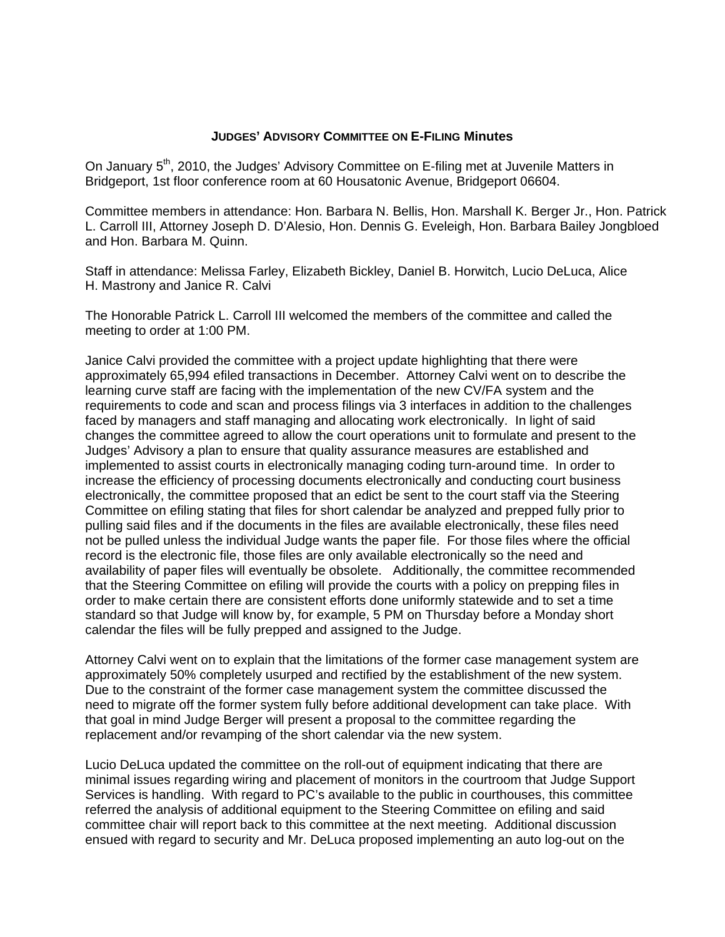## **JUDGES' ADVISORY COMMITTEE ON E-FILING Minutes**

On January 5<sup>th</sup>, 2010, the Judges' Advisory Committee on E-filing met at Juvenile Matters in Bridgeport, 1st floor conference room at 60 Housatonic Avenue, Bridgeport 06604.

Committee members in attendance: Hon. Barbara N. Bellis, Hon. Marshall K. Berger Jr., Hon. Patrick L. Carroll III, Attorney Joseph D. D'Alesio, Hon. Dennis G. Eveleigh, Hon. Barbara Bailey Jongbloed and Hon. Barbara M. Quinn.

Staff in attendance: Melissa Farley, Elizabeth Bickley, Daniel B. Horwitch, Lucio DeLuca, Alice H. Mastrony and Janice R. Calvi

The Honorable Patrick L. Carroll III welcomed the members of the committee and called the meeting to order at 1:00 PM.

Janice Calvi provided the committee with a project update highlighting that there were approximately 65,994 efiled transactions in December. Attorney Calvi went on to describe the learning curve staff are facing with the implementation of the new CV/FA system and the requirements to code and scan and process filings via 3 interfaces in addition to the challenges faced by managers and staff managing and allocating work electronically. In light of said changes the committee agreed to allow the court operations unit to formulate and present to the Judges' Advisory a plan to ensure that quality assurance measures are established and implemented to assist courts in electronically managing coding turn-around time. In order to increase the efficiency of processing documents electronically and conducting court business electronically, the committee proposed that an edict be sent to the court staff via the Steering Committee on efiling stating that files for short calendar be analyzed and prepped fully prior to pulling said files and if the documents in the files are available electronically, these files need not be pulled unless the individual Judge wants the paper file. For those files where the official record is the electronic file, those files are only available electronically so the need and availability of paper files will eventually be obsolete. Additionally, the committee recommended that the Steering Committee on efiling will provide the courts with a policy on prepping files in order to make certain there are consistent efforts done uniformly statewide and to set a time standard so that Judge will know by, for example, 5 PM on Thursday before a Monday short calendar the files will be fully prepped and assigned to the Judge.

Attorney Calvi went on to explain that the limitations of the former case management system are approximately 50% completely usurped and rectified by the establishment of the new system. Due to the constraint of the former case management system the committee discussed the need to migrate off the former system fully before additional development can take place. With that goal in mind Judge Berger will present a proposal to the committee regarding the replacement and/or revamping of the short calendar via the new system.

Lucio DeLuca updated the committee on the roll-out of equipment indicating that there are minimal issues regarding wiring and placement of monitors in the courtroom that Judge Support Services is handling. With regard to PC's available to the public in courthouses, this committee referred the analysis of additional equipment to the Steering Committee on efiling and said committee chair will report back to this committee at the next meeting. Additional discussion ensued with regard to security and Mr. DeLuca proposed implementing an auto log-out on the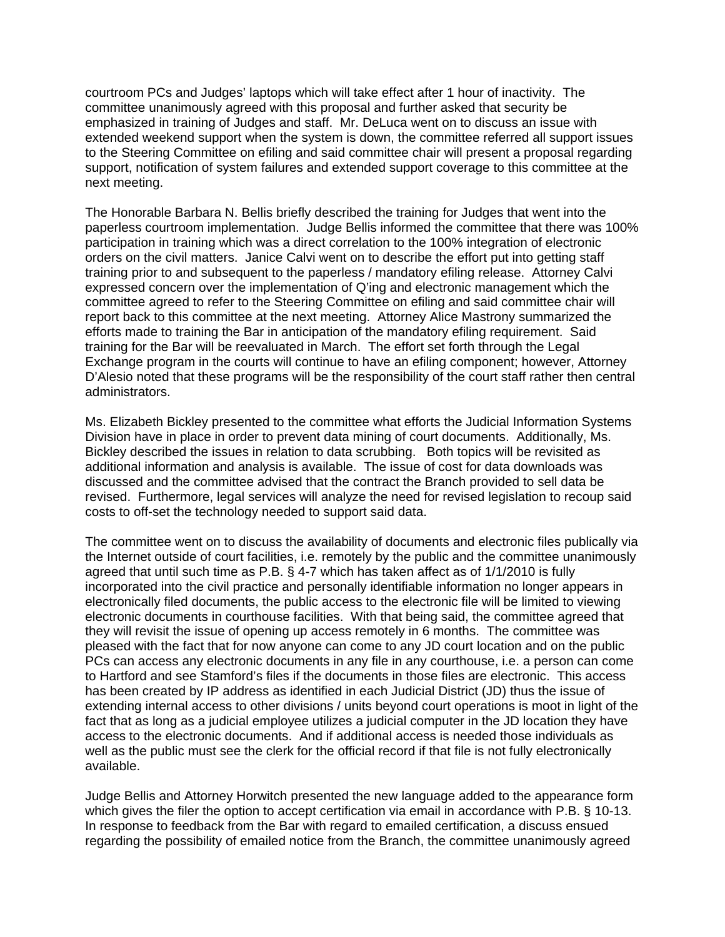courtroom PCs and Judges' laptops which will take effect after 1 hour of inactivity. The committee unanimously agreed with this proposal and further asked that security be emphasized in training of Judges and staff. Mr. DeLuca went on to discuss an issue with extended weekend support when the system is down, the committee referred all support issues to the Steering Committee on efiling and said committee chair will present a proposal regarding support, notification of system failures and extended support coverage to this committee at the next meeting.

The Honorable Barbara N. Bellis briefly described the training for Judges that went into the paperless courtroom implementation. Judge Bellis informed the committee that there was 100% participation in training which was a direct correlation to the 100% integration of electronic orders on the civil matters. Janice Calvi went on to describe the effort put into getting staff training prior to and subsequent to the paperless / mandatory efiling release. Attorney Calvi expressed concern over the implementation of Q'ing and electronic management which the committee agreed to refer to the Steering Committee on efiling and said committee chair will report back to this committee at the next meeting. Attorney Alice Mastrony summarized the efforts made to training the Bar in anticipation of the mandatory efiling requirement. Said training for the Bar will be reevaluated in March. The effort set forth through the Legal Exchange program in the courts will continue to have an efiling component; however, Attorney D'Alesio noted that these programs will be the responsibility of the court staff rather then central administrators.

Ms. Elizabeth Bickley presented to the committee what efforts the Judicial Information Systems Division have in place in order to prevent data mining of court documents. Additionally, Ms. Bickley described the issues in relation to data scrubbing. Both topics will be revisited as additional information and analysis is available. The issue of cost for data downloads was discussed and the committee advised that the contract the Branch provided to sell data be revised. Furthermore, legal services will analyze the need for revised legislation to recoup said costs to off-set the technology needed to support said data.

The committee went on to discuss the availability of documents and electronic files publically via the Internet outside of court facilities, i.e. remotely by the public and the committee unanimously agreed that until such time as P.B. § 4-7 which has taken affect as of 1/1/2010 is fully incorporated into the civil practice and personally identifiable information no longer appears in electronically filed documents, the public access to the electronic file will be limited to viewing electronic documents in courthouse facilities. With that being said, the committee agreed that they will revisit the issue of opening up access remotely in 6 months. The committee was pleased with the fact that for now anyone can come to any JD court location and on the public PCs can access any electronic documents in any file in any courthouse, i.e. a person can come to Hartford and see Stamford's files if the documents in those files are electronic. This access has been created by IP address as identified in each Judicial District (JD) thus the issue of extending internal access to other divisions / units beyond court operations is moot in light of the fact that as long as a judicial employee utilizes a judicial computer in the JD location they have access to the electronic documents. And if additional access is needed those individuals as well as the public must see the clerk for the official record if that file is not fully electronically available.

Judge Bellis and Attorney Horwitch presented the new language added to the appearance form which gives the filer the option to accept certification via email in accordance with P.B. § 10-13. In response to feedback from the Bar with regard to emailed certification, a discuss ensued regarding the possibility of emailed notice from the Branch, the committee unanimously agreed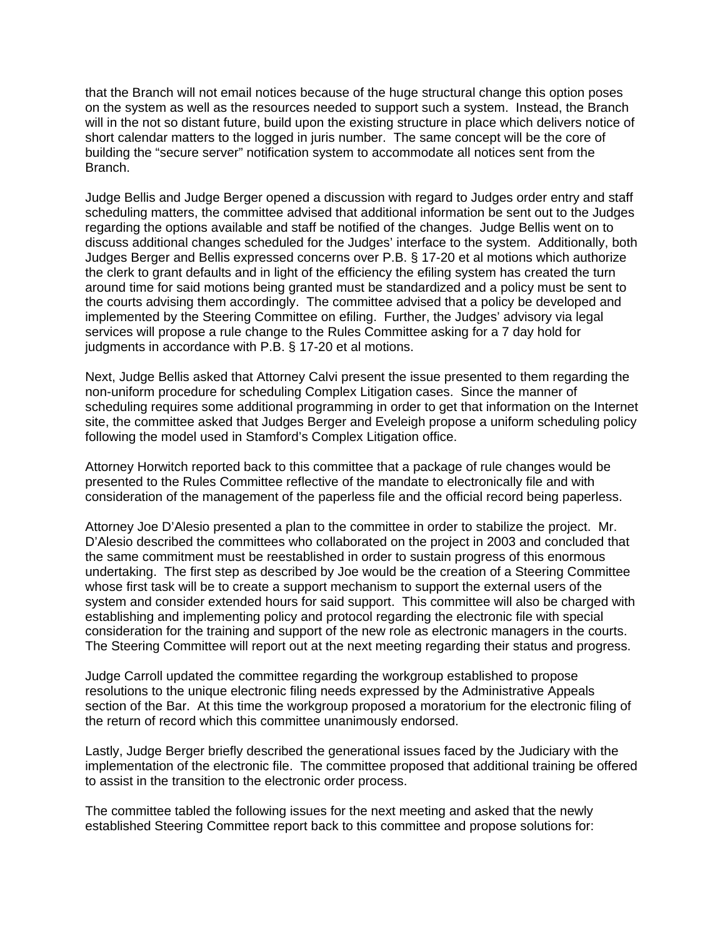that the Branch will not email notices because of the huge structural change this option poses on the system as well as the resources needed to support such a system. Instead, the Branch will in the not so distant future, build upon the existing structure in place which delivers notice of short calendar matters to the logged in juris number. The same concept will be the core of building the "secure server" notification system to accommodate all notices sent from the Branch.

Judge Bellis and Judge Berger opened a discussion with regard to Judges order entry and staff scheduling matters, the committee advised that additional information be sent out to the Judges regarding the options available and staff be notified of the changes. Judge Bellis went on to discuss additional changes scheduled for the Judges' interface to the system. Additionally, both Judges Berger and Bellis expressed concerns over P.B. § 17-20 et al motions which authorize the clerk to grant defaults and in light of the efficiency the efiling system has created the turn around time for said motions being granted must be standardized and a policy must be sent to the courts advising them accordingly. The committee advised that a policy be developed and implemented by the Steering Committee on efiling. Further, the Judges' advisory via legal services will propose a rule change to the Rules Committee asking for a 7 day hold for judgments in accordance with P.B. § 17-20 et al motions.

Next, Judge Bellis asked that Attorney Calvi present the issue presented to them regarding the non-uniform procedure for scheduling Complex Litigation cases. Since the manner of scheduling requires some additional programming in order to get that information on the Internet site, the committee asked that Judges Berger and Eveleigh propose a uniform scheduling policy following the model used in Stamford's Complex Litigation office.

Attorney Horwitch reported back to this committee that a package of rule changes would be presented to the Rules Committee reflective of the mandate to electronically file and with consideration of the management of the paperless file and the official record being paperless.

Attorney Joe D'Alesio presented a plan to the committee in order to stabilize the project. Mr. D'Alesio described the committees who collaborated on the project in 2003 and concluded that the same commitment must be reestablished in order to sustain progress of this enormous undertaking. The first step as described by Joe would be the creation of a Steering Committee whose first task will be to create a support mechanism to support the external users of the system and consider extended hours for said support. This committee will also be charged with establishing and implementing policy and protocol regarding the electronic file with special consideration for the training and support of the new role as electronic managers in the courts. The Steering Committee will report out at the next meeting regarding their status and progress.

Judge Carroll updated the committee regarding the workgroup established to propose resolutions to the unique electronic filing needs expressed by the Administrative Appeals section of the Bar. At this time the workgroup proposed a moratorium for the electronic filing of the return of record which this committee unanimously endorsed.

Lastly, Judge Berger briefly described the generational issues faced by the Judiciary with the implementation of the electronic file. The committee proposed that additional training be offered to assist in the transition to the electronic order process.

The committee tabled the following issues for the next meeting and asked that the newly established Steering Committee report back to this committee and propose solutions for: